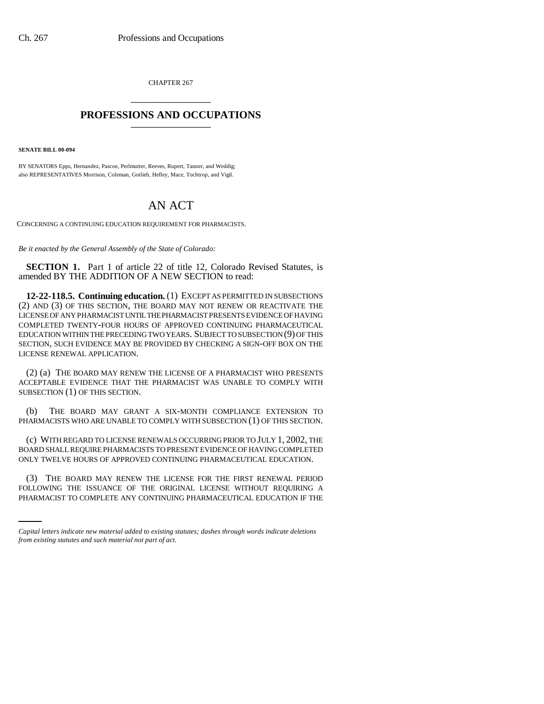CHAPTER 267 \_\_\_\_\_\_\_\_\_\_\_\_\_\_\_

## **PROFESSIONS AND OCCUPATIONS** \_\_\_\_\_\_\_\_\_\_\_\_\_\_\_

**SENATE BILL 00-094** 

BY SENATORS Epps, Hernandez, Pascoe, Perlmutter, Reeves, Rupert, Tanner, and Weddig; also REPRESENTATIVES Morrison, Coleman, Gotlieb, Hefley, Mace, Tochtrop, and Vigil.

## AN ACT

CONCERNING A CONTINUING EDUCATION REQUIREMENT FOR PHARMACISTS.

*Be it enacted by the General Assembly of the State of Colorado:*

**SECTION 1.** Part 1 of article 22 of title 12, Colorado Revised Statutes, is amended BY THE ADDITION OF A NEW SECTION to read:

**12-22-118.5. Continuing education.** (1) EXCEPT AS PERMITTED IN SUBSECTIONS (2) AND (3) OF THIS SECTION, THE BOARD MAY NOT RENEW OR REACTIVATE THE LICENSE OF ANY PHARMACIST UNTIL THE PHARMACIST PRESENTS EVIDENCE OF HAVING COMPLETED TWENTY-FOUR HOURS OF APPROVED CONTINUING PHARMACEUTICAL EDUCATION WITHIN THE PRECEDING TWO YEARS. SUBJECT TO SUBSECTION (9) OF THIS SECTION, SUCH EVIDENCE MAY BE PROVIDED BY CHECKING A SIGN-OFF BOX ON THE LICENSE RENEWAL APPLICATION.

(2) (a) THE BOARD MAY RENEW THE LICENSE OF A PHARMACIST WHO PRESENTS ACCEPTABLE EVIDENCE THAT THE PHARMACIST WAS UNABLE TO COMPLY WITH SUBSECTION (1) OF THIS SECTION.

(b) THE BOARD MAY GRANT A SIX-MONTH COMPLIANCE EXTENSION TO PHARMACISTS WHO ARE UNABLE TO COMPLY WITH SUBSECTION (1) OF THIS SECTION.

(c) WITH REGARD TO LICENSE RENEWALS OCCURRING PRIOR TO JULY 1, 2002, THE BOARD SHALL REQUIRE PHARMACISTS TO PRESENT EVIDENCE OF HAVING COMPLETED ONLY TWELVE HOURS OF APPROVED CONTINUING PHARMACEUTICAL EDUCATION.

(3) THE BOARD MAY RENEW THE LICENSE FOR THE FIRST RENEWAL PERIOD FOLLOWING THE ISSUANCE OF THE ORIGINAL LICENSE WITHOUT REQUIRING A PHARMACIST TO COMPLETE ANY CONTINUING PHARMACEUTICAL EDUCATION IF THE

*Capital letters indicate new material added to existing statutes; dashes through words indicate deletions from existing statutes and such material not part of act.*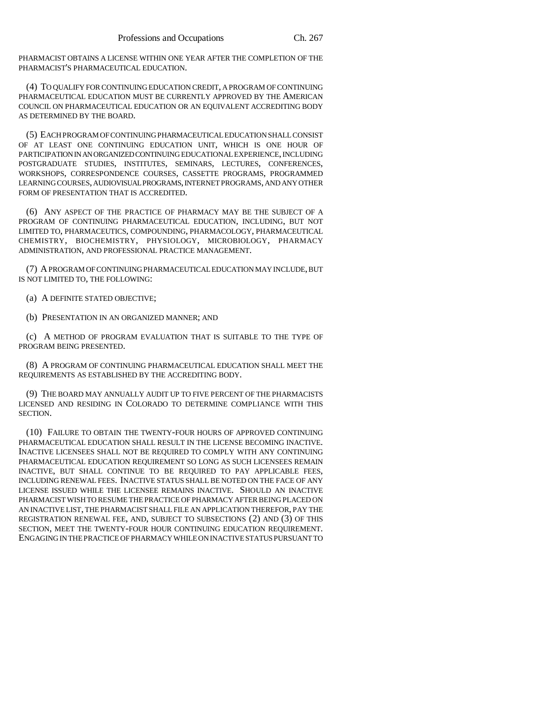PHARMACIST OBTAINS A LICENSE WITHIN ONE YEAR AFTER THE COMPLETION OF THE PHARMACIST'S PHARMACEUTICAL EDUCATION.

(4) TO QUALIFY FOR CONTINUING EDUCATION CREDIT, A PROGRAM OF CONTINUING PHARMACEUTICAL EDUCATION MUST BE CURRENTLY APPROVED BY THE AMERICAN COUNCIL ON PHARMACEUTICAL EDUCATION OR AN EQUIVALENT ACCREDITING BODY AS DETERMINED BY THE BOARD.

(5) EACH PROGRAM OF CONTINUING PHARMACEUTICAL EDUCATION SHALL CONSIST OF AT LEAST ONE CONTINUING EDUCATION UNIT, WHICH IS ONE HOUR OF PARTICIPATION IN AN ORGANIZED CONTINUING EDUCATIONAL EXPERIENCE, INCLUDING POSTGRADUATE STUDIES, INSTITUTES, SEMINARS, LECTURES, CONFERENCES, WORKSHOPS, CORRESPONDENCE COURSES, CASSETTE PROGRAMS, PROGRAMMED LEARNING COURSES, AUDIOVISUAL PROGRAMS, INTERNET PROGRAMS, AND ANY OTHER FORM OF PRESENTATION THAT IS ACCREDITED.

(6) ANY ASPECT OF THE PRACTICE OF PHARMACY MAY BE THE SUBJECT OF A PROGRAM OF CONTINUING PHARMACEUTICAL EDUCATION, INCLUDING, BUT NOT LIMITED TO, PHARMACEUTICS, COMPOUNDING, PHARMACOLOGY, PHARMACEUTICAL CHEMISTRY, BIOCHEMISTRY, PHYSIOLOGY, MICROBIOLOGY, PHARMACY ADMINISTRATION, AND PROFESSIONAL PRACTICE MANAGEMENT.

(7) A PROGRAM OF CONTINUING PHARMACEUTICAL EDUCATION MAY INCLUDE, BUT IS NOT LIMITED TO, THE FOLLOWING:

(a) A DEFINITE STATED OBJECTIVE;

(b) PRESENTATION IN AN ORGANIZED MANNER; AND

(c) A METHOD OF PROGRAM EVALUATION THAT IS SUITABLE TO THE TYPE OF PROGRAM BEING PRESENTED.

(8) A PROGRAM OF CONTINUING PHARMACEUTICAL EDUCATION SHALL MEET THE REQUIREMENTS AS ESTABLISHED BY THE ACCREDITING BODY.

(9) THE BOARD MAY ANNUALLY AUDIT UP TO FIVE PERCENT OF THE PHARMACISTS LICENSED AND RESIDING IN COLORADO TO DETERMINE COMPLIANCE WITH THIS SECTION.

(10) FAILURE TO OBTAIN THE TWENTY-FOUR HOURS OF APPROVED CONTINUING PHARMACEUTICAL EDUCATION SHALL RESULT IN THE LICENSE BECOMING INACTIVE. INACTIVE LICENSEES SHALL NOT BE REQUIRED TO COMPLY WITH ANY CONTINUING PHARMACEUTICAL EDUCATION REQUIREMENT SO LONG AS SUCH LICENSEES REMAIN INACTIVE, BUT SHALL CONTINUE TO BE REQUIRED TO PAY APPLICABLE FEES, INCLUDING RENEWAL FEES. INACTIVE STATUS SHALL BE NOTED ON THE FACE OF ANY LICENSE ISSUED WHILE THE LICENSEE REMAINS INACTIVE. SHOULD AN INACTIVE PHARMACIST WISH TO RESUME THE PRACTICE OF PHARMACY AFTER BEING PLACED ON AN INACTIVE LIST, THE PHARMACIST SHALL FILE AN APPLICATION THEREFOR, PAY THE REGISTRATION RENEWAL FEE, AND, SUBJECT TO SUBSECTIONS (2) AND (3) OF THIS SECTION, MEET THE TWENTY-FOUR HOUR CONTINUING EDUCATION REQUIREMENT. ENGAGING IN THE PRACTICE OF PHARMACY WHILE ON INACTIVE STATUS PURSUANT TO